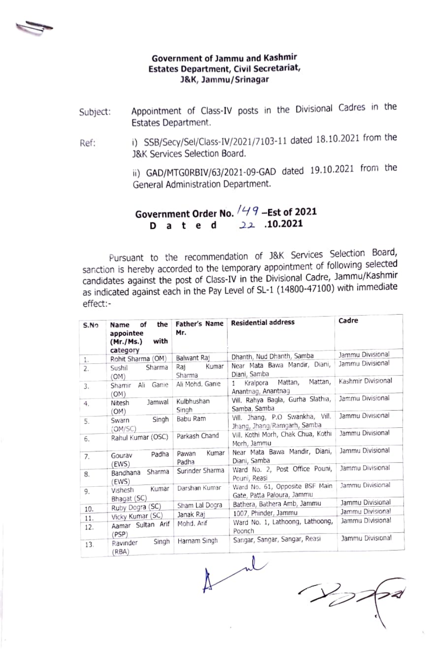

#### Government of Jammu and Kashmir Estates Department, Civil Secretariat, J&K, Jammu/Srinagar

- Appointment of Class-IV posts in the Divisional Cadres in the Estates Department. Subject:
- ) SSB/Secy/Sel/Class-IV/2021/7103-11 dated 18.10.2021 from the J8&K Services Selection Board. Ref

i) GAD/MTGORBIV/63/2021-09-GAD dated 19.10.2021 from the General Administration Department.

Government Order No.  $/49$  -Est of 2021 D a t e d 22 .10.2021

Pursuant to the recommendation of J&K Services Selection Board, sanction is hereby accorded to the temporary appointment of following selected candidates against the post of Class-IV in the Divisional Cadre, Jammu/Kashmir as indicated against each in the Pay Level of SL-1 (14800-47100) with immediate effect:-

| S.No | the<br>οf<br>Name<br>appointee<br>with<br>(Mr./Ms.)<br>category | Father's Name<br>Mr.    | <b>Residential address</b>                                      | Cadre              |
|------|-----------------------------------------------------------------|-------------------------|-----------------------------------------------------------------|--------------------|
| Ŀ.   | Rohit Sharma (OM)                                               | Balwant Raj             | Dhanth, Nud Dhanth, Samba                                       | Jammu Divisional   |
| 2.   | Sharma<br>Sushil<br>(OM)                                        | Kumar<br>Raj<br>Sharma  | Near Mata Bawa Mandir, Diani,<br>Diani, Samba                   | Jammu Divisional   |
| 3.   | Ganie<br>Ali<br>Shamir<br>(OM)                                  | Ali Mohd, Ganie         | Mattan,<br>Mattan,<br>Kralpora<br>1.<br>Anantnag, Anantnag      | Kashmir Divisional |
| 4.   | Jamwal<br>Nitesh<br>(OM)                                        | Kulbhushan<br>Singh     | Vill. Rahya Bagla, Gurha Slathia,<br>Samba, Samba               | Jammu Divisional   |
| 5.   | Singh<br>Swarn<br>(OM/SC)                                       | Babu Ram                | Vill. Jhang, P.O. Swankha, Vill.<br>Jhang, Jhang/Ramgarh, Samba | Jammu Divisional   |
| 6.   | Rahul Kumar (OSC)                                               | Parkash Chand           | Vill. Kothi Morh, Chak Chua, Kothi<br>Morh, Jammu               | Jammu Divisional   |
| 7.   | Padha<br>Gourav                                                 | Kumar<br>Pawan<br>Padha | Near Mata Bawa Mandir, Diani,<br>Diani, Samba                   | Jammu Divisional   |
| 8.   | (EWS)<br>Sharma<br>Bandhana<br>(EWS)                            | Surinder Sharma         | Ward No. 2, Post Office Pouni,<br>Pouni, Reasi                  | Jammu Divisional   |
| 9.   | Kumar<br>Vishesh<br>Bhagat (SC)                                 | Darshan Kumar           | Ward No. 61, Opposite BSF Main<br>Gate, Patta Paloura, Jammu    | Jammu Divisional   |
|      | Ruby Dogra (SC)                                                 | Sham Lal Dogra          | Bathera, Bathera Amb, Jammu                                     | Jammu Divisional   |
| 10.  | Vicky Kumar (SC)                                                | Janak Raj               | 1007, Phinder, Jammu                                            | Jammu Divisional   |
| 11.  | Aamar Sultan Arif                                               | Mohd. Arif              | Ward No. 1, Lathoong, Lathoong,                                 | Jammu Divisional   |
| 12.  | (PSP)                                                           |                         | Poonch                                                          |                    |
| 13.  | Singh<br>Ravinder<br>RBA)                                       | Harnam Singh            | Sangar, Sangar, Sangar, Reasi                                   | Jammu Divisional   |

 $\overline{\phantom{a}}$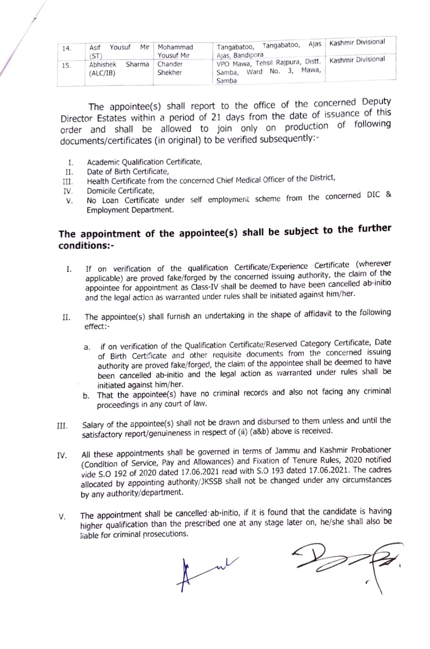| 14. | Mir<br>Yousuf<br>Asif<br>ST   | Mohammad<br>Yousuf Mir | Tangabatoo,<br>Tangabatoo,<br>Alas, Bandipora                                                    | Ajas   Kashmir Divisional |
|-----|-------------------------------|------------------------|--------------------------------------------------------------------------------------------------|---------------------------|
| 15. | Sharma<br>Abhishek<br>ALC/IB) | Chander<br>Shekher     | VPO Mawa, Tehsil Rajpura, Distt.   Kashmir Divisional<br>Mawa.<br>No.<br>Ward<br>Samba.<br>Samba |                           |

The appointee(s) shall report to the office of the concerned Deputy Director Estates within a period of 21 days from the date of issuance of this order and shall be allowed to join only on production of following documents/certificates (in original) to be verified subsequently

- Academic Qualification Certificate,  $\mathbf{I}$ .
- II. Date of Birth Certificate,
- Ill. Health Certificate from the concerned Chief Medical Officer of the District,
- 
- IV. Domicile Certificate,<br>V. No Loan Certificate under self employment scheme from the concerned DIC & Employment Department. V.

## The appointment of the appointee(s) shall be subject to the further conditions:-

- I. If on verification of the qualification Certificate/Experience Certificate (wherever applicable) are proved fake/forged by the concerned issuing authority, the claim of the applicable) are proved rate, longed by the content of the been cancelled ab-initio appointee for appointment as Class-IV shall be deemed to have been cancelled ab-initio and the legal acticn as warranted under rules shall be initiated against him//her,
- The appointee(s) shall furnish an undertaking in the shape of affidavit to the foilowing effect: II.
	- a. if on verification of the Qualification Certificate/Reserved Category Certificate, Date of Birth Certificate and other requisite documents from the concerned issuing authority are proved fake/forged, the claim of the appointee shall be deemed to have been cancelled ab-initio and the legal action as warranted under rules shall be initiated against him/her.
	- b. That the appointee(s) have no criminal records and also not facing any criminal proceedings in any court of law.
- Salary of the appointee(s) shall not be drawn and disbursed to them unless and until the III. Salary of the appointee(s) shall not be drawn and dispursed to them and<br>satisfactory report/genuineness in respect of (ii) (a&b) above is received.
- All these appointments shall be governed in terms of Jammu and Kashmir Probationer (Condition of service, Pay and Allowances) and Fixation of Tenure Rules, 2020 notified vide S.O 192 of 2020 dated 17.06.2021 read with S.0 193 dated 17.06.2021. The cadres allocated by appointing authority/JKSSB shall not be changed under any circumstances by any authority/department. V.
- The appointment shall be cancelled ab-initio, if it is found that the candidate is having V. higher qualification than the prescribed one at any stage later on, he/she shall also be liable for criminal prosecutions.

point of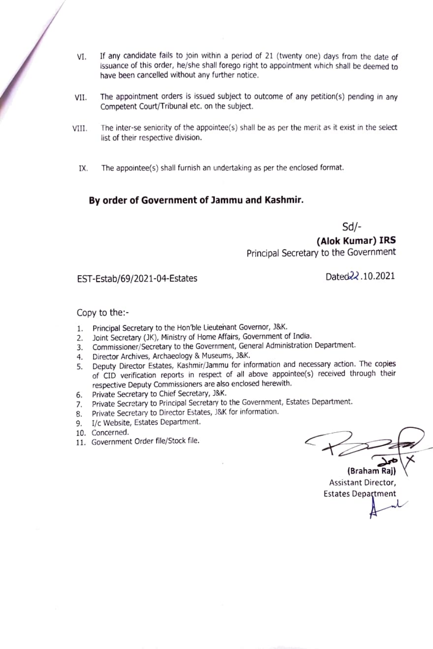- VI. If any candidate fails to join within a period of 21 (twenty one) days from the date of issuance of this order, he/she shall forego right to appointment which shall be deemed to have been cancelled without any further notice.
- The appointment orders is issued subject to outcome of any petition(s) pending in any Competent Court/Tribunal etc. on the subject. VIl.
- The inter-se seniority of the appointee(s) shall be as per the merit as it exist in the select list of their respective division. VIl.
	- IX. The appointee(s) shall furnish an undertaking as per the enclosed format.

### By order of Government of Jammu and Kashmir.

Sd/-

(Alok Kumar) IRS Principal Secretary to the Government

## EST-Estab/69/2021-04-Estates Dated22.10.2021

#### Copy to the:-

- 1. Principal Secretary to the Hon'ble Lieutenant Governor, J&K.
- 2. Joint Secretary (JK), Ministry of Home Affairs, Government of India.
- 3. Commissioner/Secretary to the Government, General Administration Department.
- 
- 4. Director Archives, Archaeology & Museums, J&K.<br>5. Deputy Director Estates, Kashmir/Jammu for information and necessary action. The copies of CID verification reports in respect of all above appointee(s) received through their respective Deputy Commissioners are also enclosed herewith.
- 6. Private Secretary to Chiet secretary, J&K.
- 7. Private secretary to Principal secretary to the Government, Estates Department.
- 8. Private Secretary to Director Estates, J&K for information.
- 9. 1/c Website, Estates bepartment.
- 10. Concerned.
- 11. Government Order file/Stock file.

(Braham Raj)

Assistant Director, Estates Department